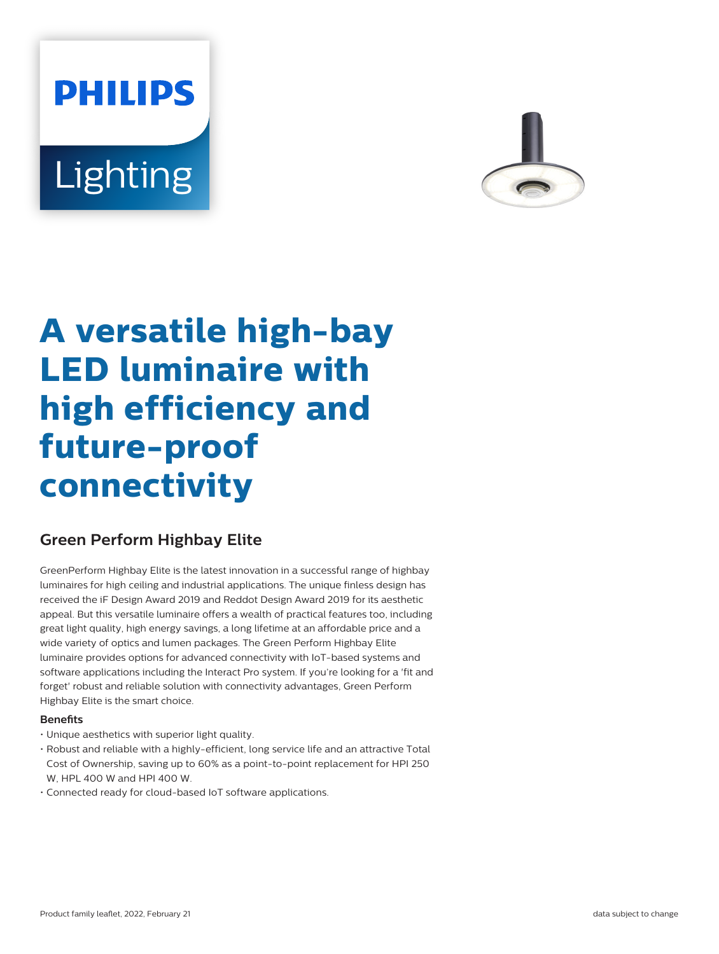# **PHILIPS** Lighting



# **A versatile high-bay LED luminaire with high efficiency and future-proof connectivity**

# **Green Perform Highbay Elite**

GreenPerform Highbay Elite is the latest innovation in a successful range of highbay luminaires for high ceiling and industrial applications. The unique finless design has received the iF Design Award 2019 and Reddot Design Award 2019 for its aesthetic appeal. But this versatile luminaire offers a wealth of practical features too, including great light quality, high energy savings, a long lifetime at an affordable price and a wide variety of optics and lumen packages. The Green Perform Highbay Elite luminaire provides options for advanced connectivity with IoT-based systems and software applications including the Interact Pro system. If you're looking for a 'fit and forget' robust and reliable solution with connectivity advantages, Green Perform Highbay Elite is the smart choice.

#### **Benefits**

- Unique aesthetics with superior light quality.
- Robust and reliable with a highly-efficient, long service life and an attractive Total Cost of Ownership, saving up to 60% as a point-to-point replacement for HPI 250 W, HPL 400 W and HPI 400 W.
- Connected ready for cloud-based IoT software applications.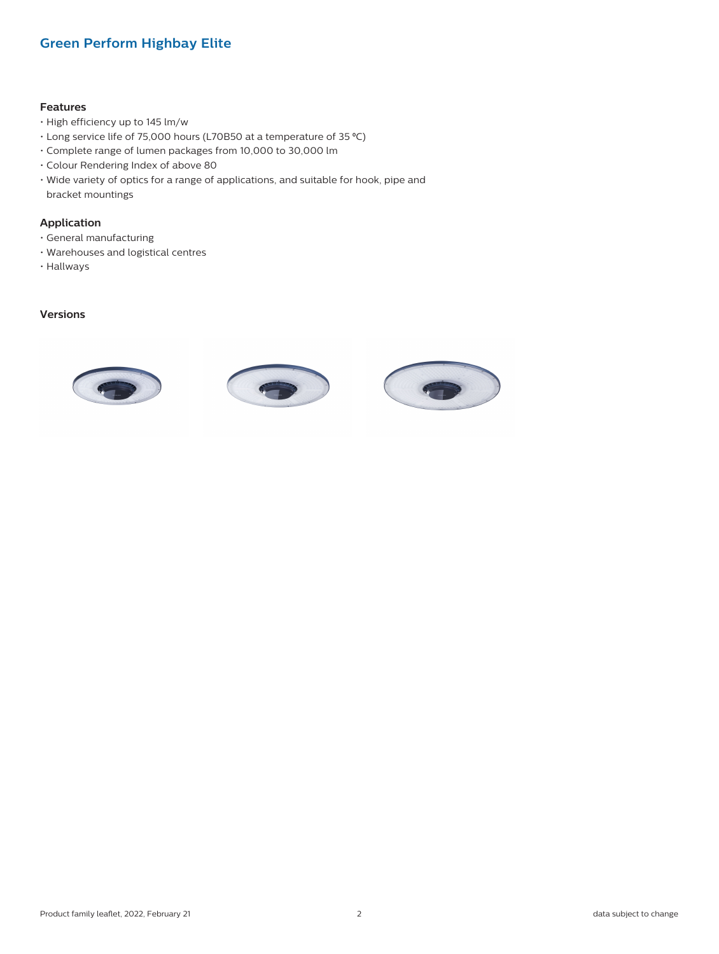### **Green Perform Highbay Elite**

#### **Features**

- High efficiency up to 145 lm/w
- Long service life of 75,000 hours (L70B50 at a temperature of 35 ⁰C)
- Complete range of lumen packages from 10,000 to 30,000 lm
- Colour Rendering Index of above 80
- Wide variety of optics for a range of applications, and suitable for hook, pipe and bracket mountings

#### **Application**

- General manufacturing
- Warehouses and logistical centres
- Hallways

#### **Versions**